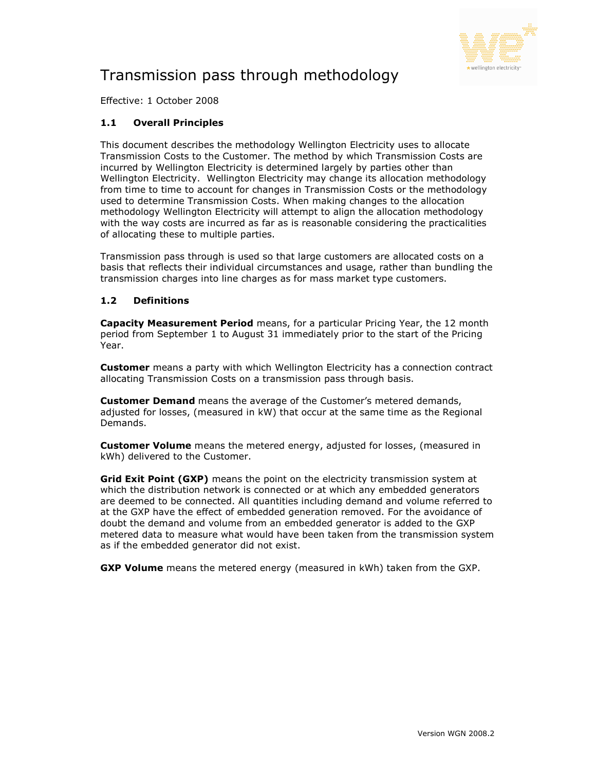

# Transmission pass through methodology

Effective: 1 October 2008

# 1.1 Overall Principles

This document describes the methodology Wellington Electricity uses to allocate Transmission Costs to the Customer. The method by which Transmission Costs are incurred by Wellington Electricity is determined largely by parties other than Wellington Electricity. Wellington Electricity may change its allocation methodology from time to time to account for changes in Transmission Costs or the methodology used to determine Transmission Costs. When making changes to the allocation methodology Wellington Electricity will attempt to align the allocation methodology with the way costs are incurred as far as is reasonable considering the practicalities of allocating these to multiple parties.

Transmission pass through is used so that large customers are allocated costs on a basis that reflects their individual circumstances and usage, rather than bundling the transmission charges into line charges as for mass market type customers.

## 1.2 Definitions

**Capacity Measurement Period** means, for a particular Pricing Year, the 12 month period from September 1 to August 31 immediately prior to the start of the Pricing Year.

**Customer** means a party with which Wellington Electricity has a connection contract allocating Transmission Costs on a transmission pass through basis.

**Customer Demand** means the average of the Customer's metered demands, adjusted for losses, (measured in kW) that occur at the same time as the Regional Demands.

**Customer Volume** means the metered energy, adjusted for losses, (measured in kWh) delivered to the Customer.

Grid Exit Point (GXP) means the point on the electricity transmission system at which the distribution network is connected or at which any embedded generators are deemed to be connected. All quantities including demand and volume referred to at the GXP have the effect of embedded generation removed. For the avoidance of doubt the demand and volume from an embedded generator is added to the GXP metered data to measure what would have been taken from the transmission system as if the embedded generator did not exist.

**GXP Volume** means the metered energy (measured in kWh) taken from the GXP.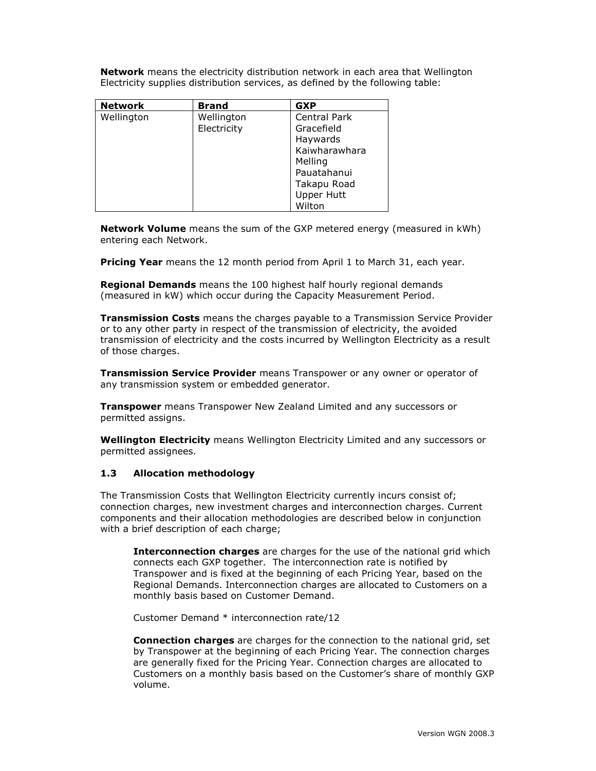**Network** means the electricity distribution network in each area that Wellington Electricity supplies distribution services, as defined by the following table:

| <b>Network</b> | <b>Brand</b> | <b>GXP</b>          |  |
|----------------|--------------|---------------------|--|
| Wellington     | Wellington   | <b>Central Park</b> |  |
|                | Electricity  | Gracefield          |  |
|                |              | Haywards            |  |
|                |              | Kaiwharawhara       |  |
|                |              | Melling             |  |
|                |              | Pauatahanui         |  |
|                |              | Takapu Road         |  |
|                |              | <b>Upper Hutt</b>   |  |
|                |              | Wilton              |  |

Network Volume means the sum of the GXP metered energy (measured in kWh) entering each Network.

Pricing Year means the 12 month period from April 1 to March 31, each year.

Regional Demands means the 100 highest half hourly regional demands (measured in kW) which occur during the Capacity Measurement Period.

**Transmission Costs** means the charges payable to a Transmission Service Provider or to any other party in respect of the transmission of electricity, the avoided transmission of electricity and the costs incurred by Wellington Electricity as a result of those charges.

**Transmission Service Provider** means Transpower or any owner or operator of any transmission system or embedded generator.

**Transpower** means Transpower New Zealand Limited and any successors or permitted assigns.

Wellington Electricity means Wellington Electricity Limited and any successors or permitted assignees.

#### 1.3 Allocation methodology

The Transmission Costs that Wellington Electricity currently incurs consist of; connection charges, new investment charges and interconnection charges. Current components and their allocation methodologies are described below in conjunction with a brief description of each charge;

Interconnection charges are charges for the use of the national grid which connects each GXP together. The interconnection rate is notified by Transpower and is fixed at the beginning of each Pricing Year, based on the Regional Demands. Interconnection charges are allocated to Customers on a monthly basis based on Customer Demand.

Customer Demand \* interconnection rate/12

**Connection charges** are charges for the connection to the national grid, set by Transpower at the beginning of each Pricing Year. The connection charges are generally fixed for the Pricing Year. Connection charges are allocated to Customers on a monthly basis based on the Customer's share of monthly GXP volume.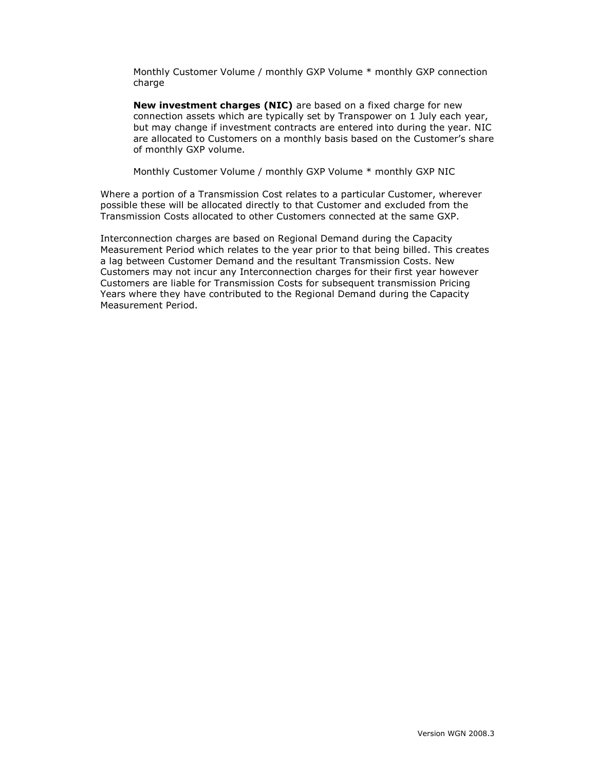Monthly Customer Volume / monthly GXP Volume \* monthly GXP connection charge

New investment charges (NIC) are based on a fixed charge for new connection assets which are typically set by Transpower on 1 July each year, but may change if investment contracts are entered into during the year. NIC are allocated to Customers on a monthly basis based on the Customer's share of monthly GXP volume.

Monthly Customer Volume / monthly GXP Volume \* monthly GXP NIC

Where a portion of a Transmission Cost relates to a particular Customer, wherever possible these will be allocated directly to that Customer and excluded from the Transmission Costs allocated to other Customers connected at the same GXP.

Interconnection charges are based on Regional Demand during the Capacity Measurement Period which relates to the year prior to that being billed. This creates a lag between Customer Demand and the resultant Transmission Costs. New Customers may not incur any Interconnection charges for their first year however Customers are liable for Transmission Costs for subsequent transmission Pricing Years where they have contributed to the Regional Demand during the Capacity Measurement Period.